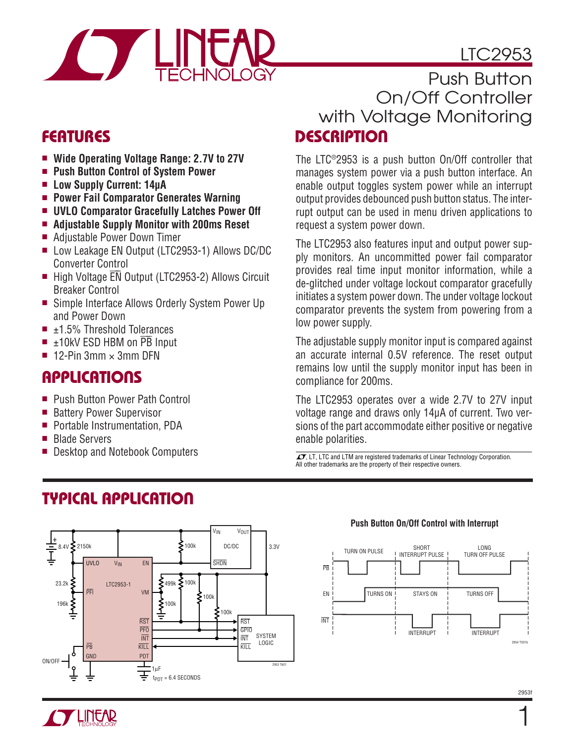# LTC2953



## **FEATURES**

- ■ **Wide Operating Voltage Range: 2.7V to 27V**
- ■ **Push Button Control of System Power**
- ■ **Low Supply Current: 14μA**
- ■ **Power Fail Comparator Generates Warning**
- ■ **UVLO Comparator Gracefully Latches Power Off**
- ■ **Adjustable Supply Monitor with 200ms Reset**
- Adjustable Power Down Timer
- Low Leakage EN Output (LTC2953-1) Allows DC/DC Converter Control
- High Voltage EN Output (LTC2953-2) Allows Circuit Breaker Control
- Simple Interface Allows Orderly System Power Up and Power Down
- $\blacksquare$   $\pm$ 1.5% Threshold Tolerances
- $\blacksquare$   $\pm$ 10kV ESD HBM on  $\overline{PB}$  Input
- $\blacksquare$  12-Pin 3mm  $\times$  3mm DFN

### **APPLICATIONS**

- **Push Button Power Path Control**
- Battery Power Supervisor
- Portable Instrumentation, PDA
- Blade Servers
- Desktop and Notebook Computers , LT, LTC and LTM are registered trademarks of Linear Technology Corporation.

**TYPICAL APPLICATION**

### **DESCRIPTION** Push Button On/Off Controller with Voltage Monitoring

The LTC®2953 is a push button On/Off controller that manages system power via a push button interface. An enable output toggles system power while an interrupt output provides debounced push button status. The interrupt output can be used in menu driven applications to request a system power down.

The LTC2953 also features input and output power supply monitors. An uncommitted power fail comparator provides real time input monitor information, while a de-glitched under voltage lockout comparator gracefully initiates a system power down. The under voltage lockout comparator prevents the system from powering from a low power supply.

The adjustable supply monitor input is compared against an accurate internal 0.5V reference. The reset output remains low until the supply monitor input has been in compliance for 200ms.

The LTC2953 operates over a wide 2.7V to 27V input voltage range and draws only 14μA of current. Two versions of the part accommodate either positive or negative enable polarities.

All other trademarks are the property of their respective owners.



#### **Push Button On/Off Control with Interrupt**



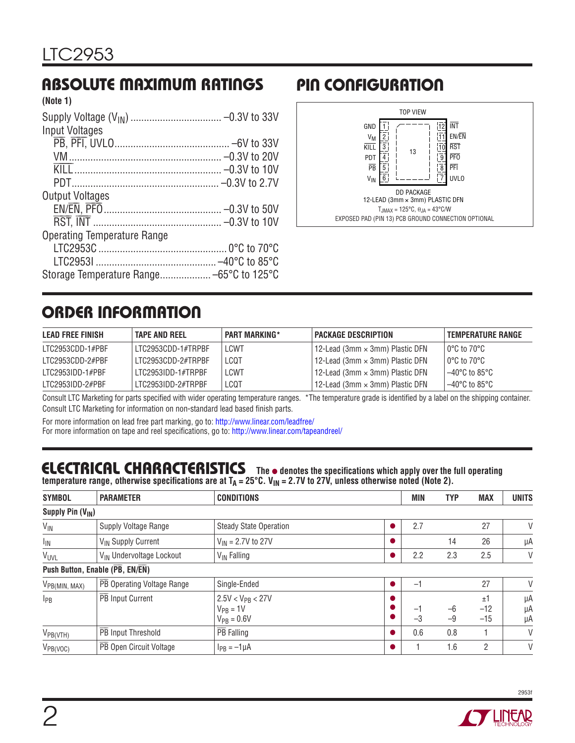#### **ABSOLUTE MAXIMUM RATINGS (Note 1)**

| INUIG II                           |  |
|------------------------------------|--|
|                                    |  |
| <b>Input Voltages</b>              |  |
|                                    |  |
|                                    |  |
|                                    |  |
|                                    |  |
| <b>Output Voltages</b>             |  |
|                                    |  |
|                                    |  |
| <b>Operating Temperature Range</b> |  |
|                                    |  |
|                                    |  |
|                                    |  |

# **PIN CONFIGURATION**



# **ORDER INFORMATION**

| <b>LEAD FREE FINISH</b> | <b>TAPE AND REEL</b> | <b>PART MARKING*</b> | <b>PACKAGE DESCRIPTION</b>             | <b>TEMPERATURE RANGE</b>          |
|-------------------------|----------------------|----------------------|----------------------------------------|-----------------------------------|
| LTC2953CDD-1#PBF        | LTC2953CDD-1#TRPBF   | LCWT                 | 12-Lead (3mm × 3mm) Plastic DFN        | l 0°C to 70°C .                   |
| LTC2953CDD-2#PBF        | LTC2953CDD-2#TRPBF   | LCQT                 | 12-Lead (3mm $\times$ 3mm) Plastic DFN | $10^{\circ}$ C to 70 $^{\circ}$ C |
| LTC2953IDD-1#PBF        | LTC2953IDD-1#TRPBF   | <b>LCWT</b>          | 112-Lead (3mm × 3mm) Plastic DFN       | $-40^{\circ}$ C to 85°C           |
| LTC2953IDD-2#PBF        | LTC2953IDD-2#TRPBF   | LCQT                 | 12-Lead (3mm $\times$ 3mm) Plastic DFN | $-40^{\circ}$ C to 85°C           |

Consult LTC Marketing for parts specified with wider operating temperature ranges. \*The temperature grade is identified by a label on the shipping container. Consult LTC Marketing for information on non-standard lead based finish parts.

For more information on lead free part marking, go to[: http://www.linear.com/leadfree/](http://www.linear.com/leadfree/)  For more information on tape and reel specifications, go to[: http://www.linear.com/tapeandreel/](http://www.linear.com/tapeandreel/)

#### **ELECTRICAL CHARACTERISTICS** The  $\bullet$  denotes the specifications which apply over the full operating temperature range, otherwise specifications are at T<sub>A</sub> = 25°C. V<sub>IN</sub> = 2.7V to 27V, unless otherwise noted (Note 2).

| <b>SYMBOL</b>         | <b>PARAMETER</b>                     | <b>CONDITIONS</b>                                         | <b>MIN</b> | <b>TYP</b>   | <b>MAX</b>           | <b>UNITS</b>   |
|-----------------------|--------------------------------------|-----------------------------------------------------------|------------|--------------|----------------------|----------------|
| Supply Pin $(V_{IN})$ |                                      |                                                           |            |              |                      |                |
| $V_{IN}$              | Supply Voltage Range                 | <b>Steady State Operation</b>                             | 2.7        |              | 27                   | V              |
| $I_{\text{IN}}$       | V <sub>IN</sub> Supply Current       | $V_{IN} = 2.7V$ to 27V                                    |            | 14           | 26                   | μA             |
| <b>VUVL</b>           | V <sub>IN</sub> Undervoltage Lockout | $V_{IN}$ Falling                                          | 2.2        | 2.3          | 2.5                  | V              |
|                       | Push Button, Enable (PB, EN/EN)      |                                                           |            |              |                      |                |
| $V_{PB(MIN, MAX)}$    | PB Operating Voltage Range           | Single-Ended                                              | Ξ.         |              | 27                   | V              |
| $1_{PB}$              | PB Input Current                     | $2.5V < V_{PB} < 27V$<br>$V_{PR} = 1V$<br>$V_{PR} = 0.6V$ | -1<br>$-3$ | $-6$<br>$-9$ | ±1<br>$-12$<br>$-15$ | μA<br>μA<br>μA |
| $V_{PB(VTH)}$         | PB Input Threshold                   | PB Falling                                                | 0.6        | 0.8          |                      | V              |
| $V_{PB(VOC)}$         | PB Open Circuit Voltage              | $I_{PB} = -1 \mu A$                                       |            | 1.6          | 2                    | V              |



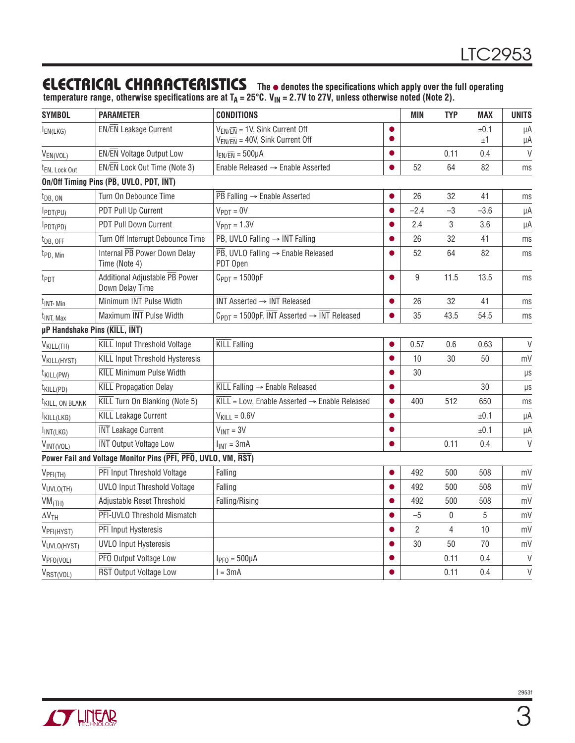### **ELECTRICAL CHARACTERISTICS The** ● **denotes the specifi cations which apply over the full operating**

temperature range, otherwise specifications are at T<sub>A</sub> = 25°C. V<sub>IN</sub> = 2.7V to 27V, unless otherwise noted (Note 2).

| <b>SYMBOL</b>                 | <b>PARAMETER</b>                                              | <b>CONDITIONS</b>                                                                                |                | <b>MIN</b>     | <b>TYP</b>     | <b>MAX</b> | <b>UNITS</b> |
|-------------------------------|---------------------------------------------------------------|--------------------------------------------------------------------------------------------------|----------------|----------------|----------------|------------|--------------|
| $I_{EN(LKG)}$                 | EN/EN Leakage Current                                         | $V_{EN/\overline{EN}} = 1V$ , Sink Current Off<br>$V_{EN/\overline{EN}}$ = 40V, Sink Current Off | $\bullet$<br>● |                |                | ±0.1<br>±1 | μA<br>μA     |
| $V_{EN(VOL)}$                 | EN/EN Voltage Output Low                                      | $I_{EN/\overline{EN}} = 500 \mu A$                                                               | $\bullet$      |                | 0.11           | 0.4        | $\vee$       |
| t <sub>EN</sub> , Lock Out    | EN/EN Lock Out Time (Note 3)                                  | Enable Released $\rightarrow$ Enable Asserted                                                    |                | 52             | 64             | 82         | ms           |
|                               | On/Off Timing Pins (PB, UVLO, PDT, INT)                       |                                                                                                  |                |                |                |            |              |
| $t_{DB, ON}$                  | Turn On Debounce Time                                         | $\overline{PB}$ Falling $\rightarrow$ Enable Asserted                                            | O              | 26             | 32             | 41         | ms           |
| $I$ PDT(PU)                   | PDT Pull Up Current                                           | $V_{PDT} = 0V$                                                                                   | $\bullet$      | $-2.4$         | -3             | $-3.6$     | μA           |
| $I_{PDT(PD)}$                 | <b>PDT Pull Down Current</b>                                  | $V_{PDT} = 1.3V$                                                                                 |                | 2.4            | 3              | 3.6        | μA           |
| $t_{DB, OFF}$                 | Turn Off Interrupt Debounce Time                              | $\overline{\text{PB}}$ , UVLO Falling $\rightarrow$ INT Falling                                  | O              | 26             | 32             | 41         | ms           |
| t <sub>PD</sub> , Min         | Internal PB Power Down Delay<br>Time (Note 4)                 | $\overline{PB}$ , UVLO Falling $\rightarrow$ Enable Released<br>PDT Open                         | Δ              | 52             | 64             | 82         | ms           |
| t <sub>PDT</sub>              | Additional Adjustable PB Power<br>Down Delay Time             | $C_{PDT} = 1500pF$                                                                               |                | 9              | 11.5           | 13.5       | ms           |
| t <sub>INT</sub> , Min        | Minimum INT Pulse Width                                       | $\overline{\text{INT}}$ Asserted $\rightarrow$ $\overline{\text{INT}}$ Released                  |                | 26             | 32             | 41         | ms           |
| <sup>t</sup> INT. Max         | Maximum INT Pulse Width                                       | $C_{PDT}$ = 1500pF, $\overline{INT}$ Asserted $\rightarrow \overline{INT}$ Released              |                | 35             | 43.5           | 54.5       | ms           |
| µP Handshake Pins (KILL, INT) |                                                               |                                                                                                  |                |                |                |            |              |
| V <sub>KILL(TH)</sub>         | <b>KILL Input Threshold Voltage</b>                           | <b>KILL Falling</b>                                                                              | O              | 0.57           | 0.6            | 0.63       | $\vee$       |
| V <sub>KILL(HYST)</sub>       | <b>KILL Input Threshold Hysteresis</b>                        |                                                                                                  |                | 10             | 30             | 50         | mV           |
| t <sub>KILL(PW)</sub>         | <b>KILL Minimum Pulse Width</b>                               |                                                                                                  |                | 30             |                |            | $\mu s$      |
| t <sub>KILL(PD)</sub>         | <b>KILL Propagation Delay</b>                                 | $\overline{\text{KILL}}$ Falling $\rightarrow$ Enable Released                                   |                |                |                | 30         | μs           |
| <sup>t</sup> KILL, ON BLANK   | KILL Turn On Blanking (Note 5)                                | $\overline{\text{KILL}}$ = Low, Enable Asserted $\rightarrow$ Enable Released                    | $\bullet$      | 400            | 512            | 650        | ms           |
| KILL(LKG)                     | <b>KILL</b> Leakage Current                                   | $V_{KILL} = 0.6V$                                                                                |                |                |                | ±0.1       | μA           |
| $I_{INT(LKG)}$                | <b>INT</b> Leakage Current                                    | $V_{INT} = 3V$                                                                                   | ●              |                |                | ±0.1       | μA           |
| VINT(VOL)                     | <b>INT</b> Output Voltage Low                                 | $I_{INT} = 3mA$                                                                                  |                |                | 0.11           | 0.4        | $\vee$       |
|                               | Power Fail and Voltage Monitor Pins (PFI, PFO, UVLO, VM, RST) |                                                                                                  |                |                |                |            |              |
| V <sub>PH(TH)</sub>           | PFI Input Threshold Voltage                                   | Falling                                                                                          |                | 492            | 500            | 508        | mV           |
| VUVLO(TH)                     | <b>UVLO Input Threshold Voltage</b>                           | Falling                                                                                          |                | 492            | 500            | 508        | mV           |
| $VM$ <sub>(TH)</sub>          | Adjustable Reset Threshold                                    | Falling/Rising                                                                                   |                | 492            | 500            | 508        | mV           |
| $\Delta V$ TH                 | PFI-UVLO Threshold Mismatch                                   |                                                                                                  |                | $-5$           | $\bf{0}$       | 5          | mV           |
| V <sub>PFI(HYST)</sub>        | <b>PFI</b> Input Hysteresis                                   |                                                                                                  |                | $\overline{2}$ | $\overline{4}$ | 10         | mV           |
| VUVLO(HYST)                   | <b>UVLO Input Hysteresis</b>                                  |                                                                                                  |                | 30             | 50             | 70         | mV           |
| V <sub>PFO(VOL)</sub>         | PFO Output Voltage Low                                        | $IPF0 = 500µA$                                                                                   |                |                | 0.11           | 0.4        | $\vee$       |
| VRST(VOL)                     | <b>RST</b> Output Voltage Low                                 | $l = 3mA$                                                                                        | ●              |                | 0.11           | 0.4        | $\vee$       |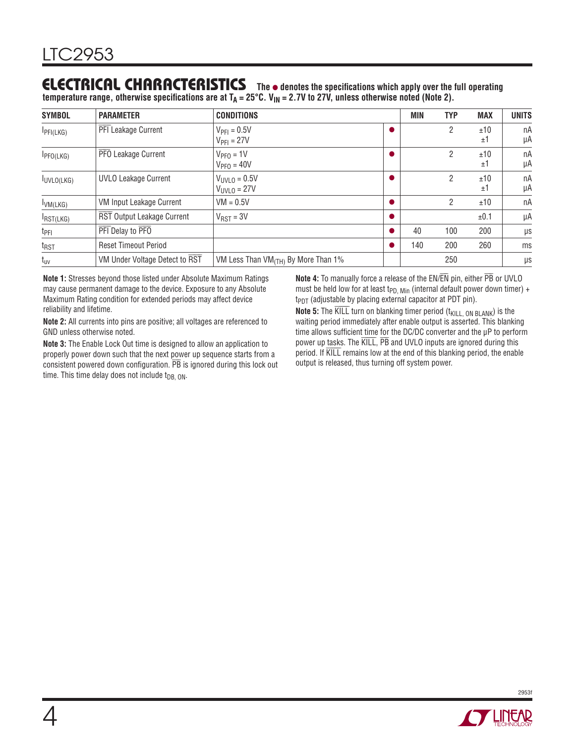#### **ELECTRICAL CHARACTERISTICS The** ● **denotes the specifi cations which apply over the full operating**  temperature range, otherwise specifications are at T<sub>A</sub> = 25°C. V<sub>IN</sub> = 2.7V to 27V, unless otherwise noted (Note 2).

| <b>SYMBOL</b>     | <b>PARAMETER</b>                | <b>CONDITIONS</b>                                 | MIN | <b>TYP</b> | <b>MAX</b> | <b>UNITS</b> |
|-------------------|---------------------------------|---------------------------------------------------|-----|------------|------------|--------------|
| IPI(LKG)          | <b>PFI</b> Leakage Current      | $V_{PFI} = 0.5V$<br>$V_{\text{PFI}} = 27V$        |     | 2          | ±10<br>±1  | пA<br>μA     |
| IPPO(LKG)         | PFO Leakage Current             | $VPPO = 1V$<br>$VPF0 = 40V$                       |     | 2          | ±10<br>±1  | nA<br>μA     |
| <b>IUVLO(LKG)</b> | <b>UVLO Leakage Current</b>     | $V_{UVLO} = 0.5V$<br>$V_{UVLO} = 27V$             |     | 2          | ±10<br>±1  | nA<br>μA     |
| IVM(LKG)          | <b>VM Input Leakage Current</b> | $VM = 0.5V$                                       |     | 2          | ±10        | nA           |
| IRST(LKG)         | RST Output Leakage Current      | $V_{RST} = 3V$                                    |     |            | ±0.1       | μA           |
| t <sub>PFI</sub>  | PFI Delay to PFO                |                                                   | 40  | 100        | 200        | $\mu s$      |
| t <sub>RST</sub>  | <b>Reset Timeout Period</b>     |                                                   | 140 | 200        | 260        | ms           |
| $t_{uv}$          | VM Under Voltage Detect to RST  | VM Less Than $VM$ <sub>(TH)</sub> By More Than 1% |     | 250        |            | μs           |

**Note 1:** Stresses beyond those listed under Absolute Maximum Ratings may cause permanent damage to the device. Exposure to any Absolute Maximum Rating condition for extended periods may affect device reliability and lifetime.

**Note 2:** All currents into pins are positive; all voltages are referenced to GND unless otherwise noted.

**Note 3:** The Enable Lock Out time is designed to allow an application to properly power down such that the next power up sequence starts from a property power down back that the hext power up sequence starts from a consistent powered down configuration.  $\overline{PB}$  is ignored during this lock out time. This time delay does not include  $t_{DB, ON}$ .

**Note 4:** To manually force a release of the EN/EN pin, either PB or UVLO must be held low for at least t<sub>PD. Min</sub> (internal default power down timer) +  $t_{PDT}$  (adjustable by placing external capacitor at PDT pin).

**Note 5:** The  $\overline{KILL}$  turn on blanking timer period (t<sub>KILL, ON BLANK</sub>) is the waiting period immediately after enable output is asserted. This blanking time allows sufficient time for the DC/DC converter and the  $\mu$ P to perform power up tasks. The KILL,  $\overline{PB}$  and UVLO inputs are ignored during this period. If KILL remains low at the end of this blanking period, the enable output is released, thus turning off system power.

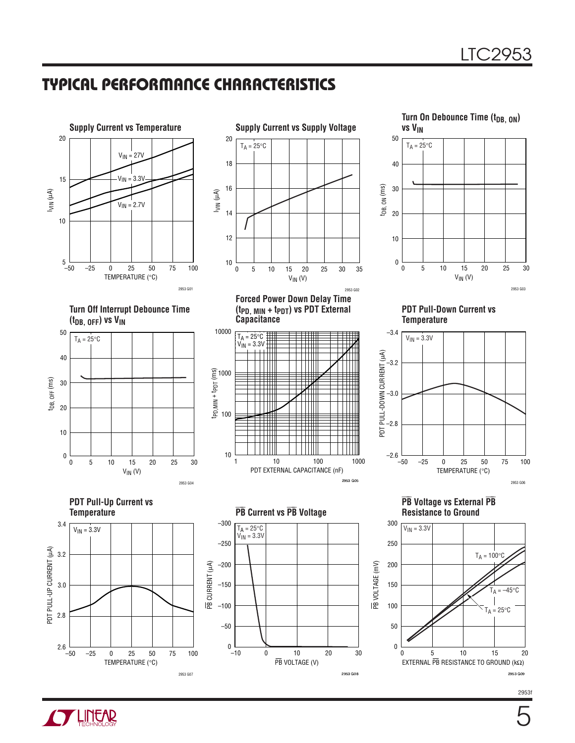### **TYPICAL PERFORMANCE CHARACTERISTICS**











2953 G07



**Forced Power Down Delay Time (tPD, MIN + tPDT) vs PDT External Capacitance**



PB VOLTAGE (V)

2953 G08



**PDT Pull-Down Current vs Temperature**



 $\overline{\mathsf{I}}$  $\overline{PB}$  Voltage vs External  $\overline{PB}$ **Resistance to Ground**



2953f



–50 2.6

2.8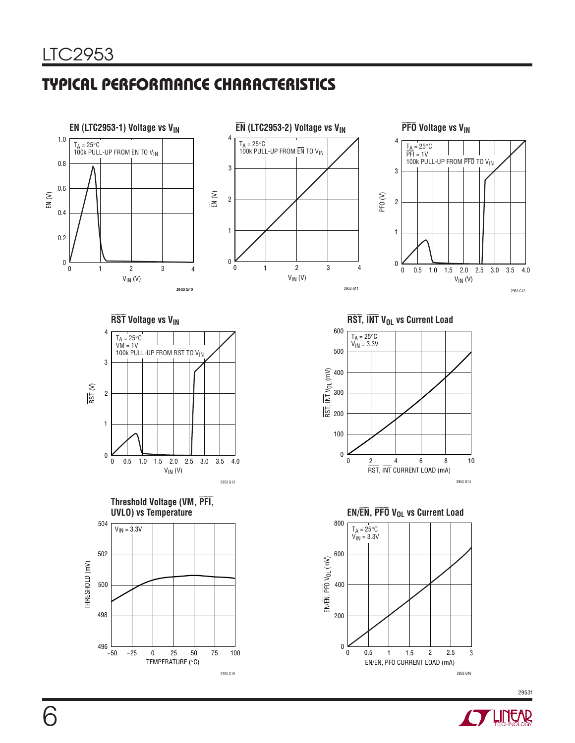## **TYPICAL PERFORMANCE CHARACTERISTICS**















 $\overline{\mathsf{RST}}, \, \overline{\mathsf{INT}} \, \mathsf{V}_{\mathsf{OL}}$  vs Current Load



**EN/**⎯**E**<sup>⎯</sup> **N,** ⎯ **P**⎯**F**⎯ **O VOL vs Current Load**



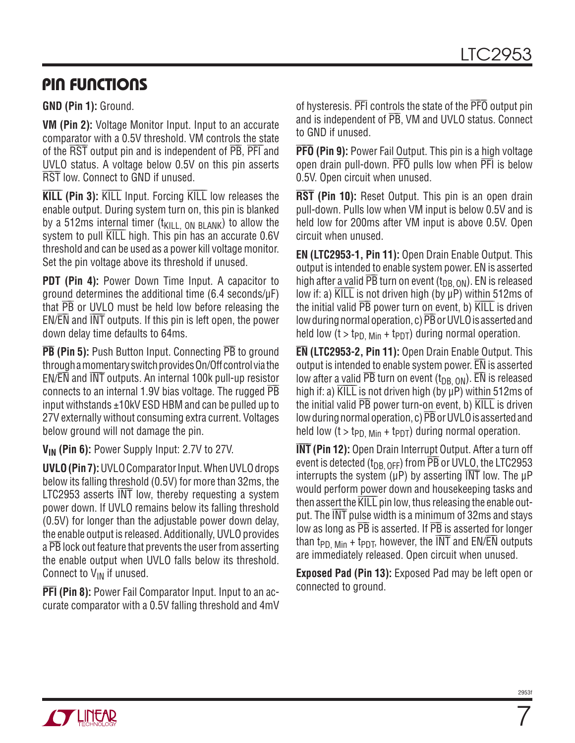### **PIN FUNCTIONS**

**GND (Pin 1):** Ground.

**VM (Pin 2):** Voltage Monitor Input. Input to an accurate comparator with a 0.5V threshold. VM controls the state of the RST output pin and is independent of PB, PFI and UVLO status. A voltage below 0.5V on this pin asserts ⎯ OVED Status. A Voltage below 0.0V<br>RST low. Connect to GND if unused.

⎯ **KILL (Pin 3):** KILL Input. Forcing KILL low releases the enable output. During system turn on, this pin is blanked by a 512ms internal timer  $(t_{\text{KII}})$  on BLANK) to allow the system to pull ⎯ <sup>K</sup>⎯I⎯L⎯L high. This pin has an accurate 0.6V threshold and can be used as a power kill voltage monitor. Set the pin voltage above its threshold if unused.

**PDT (Pin 4):** Power Down Time Input. A capacitor to ground determines the additional time (6.4 seconds/μF)  $\frac{1}{2}$  or UVLO must be held low before releasing the  $EN/EN$  and  $\overline{INT}$  outputs. If this pin is left open, the power down delay time defaults to 64ms.

⎯  $\overline{\text{PB}}$  (Pin 5): Push Button Input. Connecting  $\overline{\text{PB}}$  to ground through a momentary switch provides On/Off control via the an ough a momentally switch provides on/or control wather<br>EN/EN and INT outputs. An internal 100k pull-up resistor connects to an internal 1.9V bias voltage. The rugged PB input withstands ±10kV ESD HBM and can be pulled up to 27V externally without consuming extra current. Voltages below ground will not damage the pin.

**VIN (Pin 6):** Power Supply Input: 2.7V to 27V.

**UVLO (Pin 7):** UVLO Comparator Input. When UVLO drops below its falling threshold (0.5V) for more than 32ms, the  $LTC2953$  asserts  $\overline{INT}$  low, thereby requesting a system power down. If UVLO remains below its falling threshold (0.5V) for longer than the adjustable power down delay, the enable output is released. Additionally, UVLO provides a **PB** lock out feature that prevents the user from asserting the enable output when UVLO falls below its threshold. Connect to  $V_{IN}$  if unused.

**PFI (Pin 8):** Power Fail Comparator Input. Input to an accurate comparator with a 0.5V falling threshold and 4mV

of hysteresis.  $\overline{\mathsf{PFl}}$  controls the state of the  $\overline{\mathsf{PFO}}$  output pin and is independent of **PB**, VM and UVLO status. Connect to GND if unused.

⎯ **P**⎯**F**⎯ **O (Pin 9):** Power Fail Output. This pin is a high voltage open drain pull-down. PFO pulls low when PFI is below 0.5V. Open circuit when unused.

⎯ **R**⎯ **S**⎯**T (Pin 10):** Reset Output. This pin is an open drain pull-down. Pulls low when VM input is below 0.5V and is held low for 200ms after VM input is above 0.5V. Open circuit when unused.

**EN (LTC2953-1, Pin 11):** Open Drain Enable Output. This output is intended to enable system power. EN is asserted barbar is interious to enable system power. EN is asserted high after a valid  $\overline{\text{PB}}$  turn on event  $(t_{\text{DB, ON}})$ . EN is released low if: a) KILL is not driven high (by μP) within 512ms of the initial valid  $\overline{PB}$  power turn on event, b)  $\overline{KILL}$  is driven low during normal operation, c)  $\overline{PB}$  or UVLO is asserted and held low (t > t<sub>PD, Min</sub> + t<sub>PDT</sub>) during normal operation.

⎯**E**⎯ **N (LTC2953-2, Pin 11):** Open Drain Enable Output. This output is intended to enable system power.  $\overline{\text{EN}}$  is asserted burbut is interface to chable system power. EN is asserted low after a <u>valid</u>  $\overline{PB}$  turn on event  $(t_{\text{DB, ON}})$ .  $\overline{\text{EN}}$  is released high if: a)  $\overline{\text{KILL}}$  is not driven high (by  $\mu$ P) within 512ms of the initial valid  $\overline{PB}$  power turn-on event, b)  $\overline{KILL}$  is driven low during normal operation, c)  $\overline{PB}$  or UVLO is asserted and held low (t > t<sub>PD, Min</sub> + t<sub>PDT</sub>) during normal operation.

⎯**I**⎯ **INT (Pin 12):** Open Drain Interrupt Output. After a turn off event is detected  $(t_{DB, OFF})$  from  $\overline{PB}$  or UVLO, the LTC2953 interrupts the system ( $\mu$ P) by asserting  $\overline{INT}$  low. The  $\mu$ P would perform power down and housekeeping tasks and would perform <u>power</u> down and housekeeping lasks and<br>then assert the KILL pin low, thus releasing the enable out- $\frac{1}{\pi}$  assert the KEE pm low, thas releasing the enable out put. The  $\overline{\text{INT}}$  pulse width is a minimum of 32ms and stays  $\frac{1}{2}$  low as long as  $\overline{PB}$  is asserted. If  $\overline{PB}$  is asserted for longer than  $t_{PD, Min}$  +  $t_{PDT}$ , however, the  $\overline{INT}$  and  $\overline{EN/EN}$  outputs are immediately released. Open circuit when unused.

**Exposed Pad (Pin 13):** Exposed Pad may be left open or connected to ground.

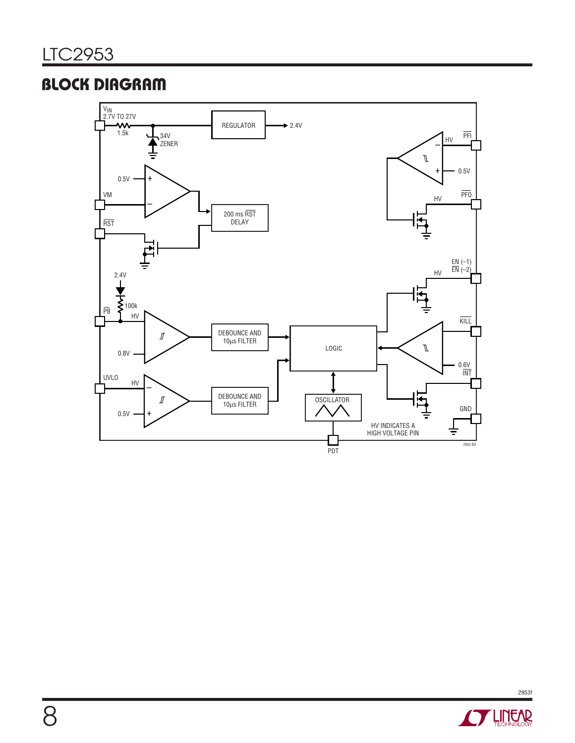# **BLOCK DIAGRAM**



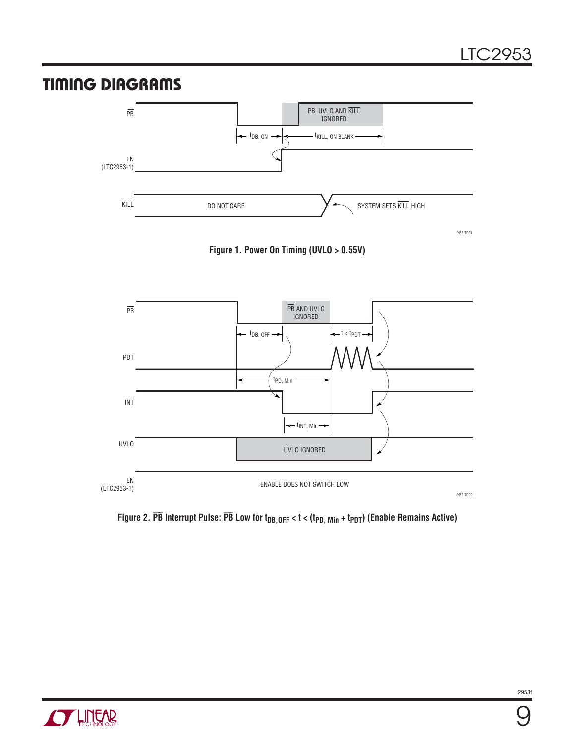### **TIMING DIAGRAMS**







**Figure 2.** ⎯ **P**⎯ **B Interrupt Pulse:** ⎯ **P**⎯ **B Low for tDB,OFF < t < (tPD, Min + tPDT) (Enable Remains Active)**

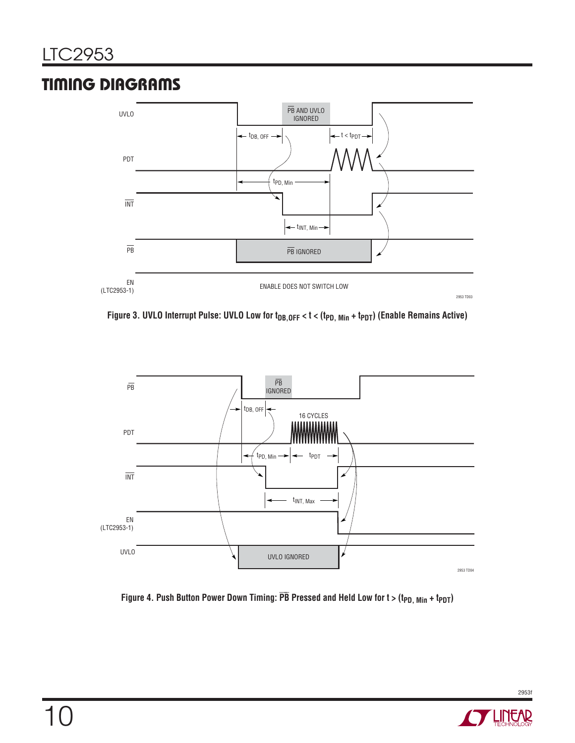# **TIMING DIAGRAMS**



Figure 3. UVLO Interrupt Pulse: UVLO Low for t<sub>DB, OFF</sub> < t < (t<sub>PD, Min</sub> + t<sub>PDT</sub>) (Enable Remains Active)



Figure 4. Push Button Power Down Timing:  $\overline{\text{PB}}$  Pressed and Held Low for t > (t<sub>PD, Min</sub> + t<sub>PDT</sub>)

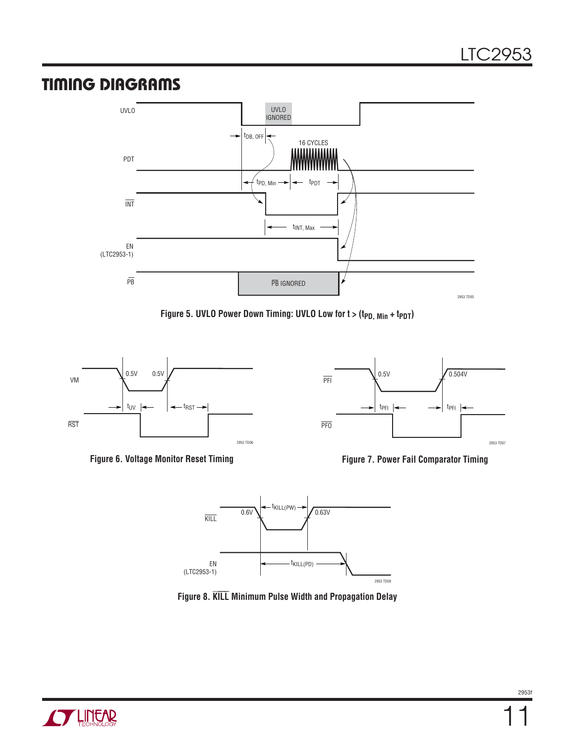### **TIMING DIAGRAMS**













**Figure 8.** ⎯ **K**⎯**I**⎯**L**⎯**L Minimum Pulse Width and Propagation Delay**

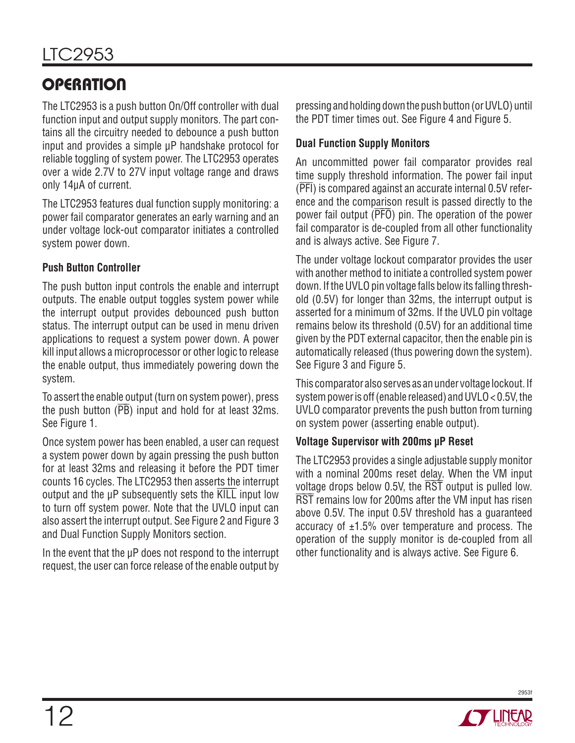# **OPERATION**

The LTC2953 is a push button On/Off controller with dual function input and output supply monitors. The part contains all the circuitry needed to debounce a push button input and provides a simple μP handshake protocol for reliable toggling of system power. The LTC2953 operates over a wide 2.7V to 27V input voltage range and draws only 14μA of current.

The LTC2953 features dual function supply monitoring: a power fail comparator generates an early warning and an under voltage lock-out comparator initiates a controlled system power down.

#### **Push Button Controller**

The push button input controls the enable and interrupt outputs. The enable output toggles system power while the interrupt output provides debounced push button status. The interrupt output can be used in menu driven applications to request a system power down. A power kill input allows a microprocessor or other logic to release the enable output, thus immediately powering down the system.

To assert the enable output (turn on system power), press the push button  $(\overline{PB})$  input and hold for at least 32ms. See Figure 1.

Once system power has been enabled, a user can request a system power down by again pressing the push button for at least 32ms and releasing it before the PDT timer counts 16 cycles. The LTC2953 then asserts the interrupt  $\frac{1}{2}$  output and the  $\mu$ P subsequently sets the  $\overline{K}}$  input low to turn off system power. Note that the UVLO input can also assert the interrupt output. See Figure 2 and Figure 3 and Dual Function Supply Monitors section.

In the event that the μP does not respond to the interrupt request, the user can force release of the enable output by

pressing and holding down the push button (or UVLO) until the PDT timer times out. See Figure 4 and Figure 5.

#### **Dual Function Supply Monitors**

An uncommitted power fail comparator provides real time supply threshold information. The power fail input (PFI) is compared against an accurate internal 0.5V reference and the comparison result is passed directly to the power fail output (**PFO**) pin. The operation of the power fail comparator is de-coupled from all other functionality and is always active. See Figure 7.

The under voltage lockout comparator provides the user with another method to initiate a controlled system power down. If the UVLO pin voltage falls below its falling threshold (0.5V) for longer than 32ms, the interrupt output is asserted for a minimum of 32ms. If the UVLO pin voltage remains below its threshold (0.5V) for an additional time given by the PDT external capacitor, then the enable pin is automatically released (thus powering down the system). See Figure 3 and Figure 5.

This comparator also serves as an under voltage lockout. If system power is off (enable released) and UVLO < 0.5V, the UVLO comparator prevents the push button from turning on system power (asserting enable output).

#### **Voltage Supervisor with 200ms μP Reset**

The LTC2953 provides a single adjustable supply monitor with a nominal 200ms reset delay. When the VM input with a normal 200ms reset detay. When the VM lipper voltage drops below  $0.5V$ , the  $\overline{\text{RST}}$  output is pulled low. ⎯ bondge drops below 6.5%, the HoT burpat is panea low.<br>RST remains low for 200ms after the VM input has risen above 0.5V. The input 0.5V threshold has a guaranteed accuracy of  $\pm 1.5$ % over temperature and process. The operation of the supply monitor is de-coupled from all other functionality and is always active. See Figure 6.

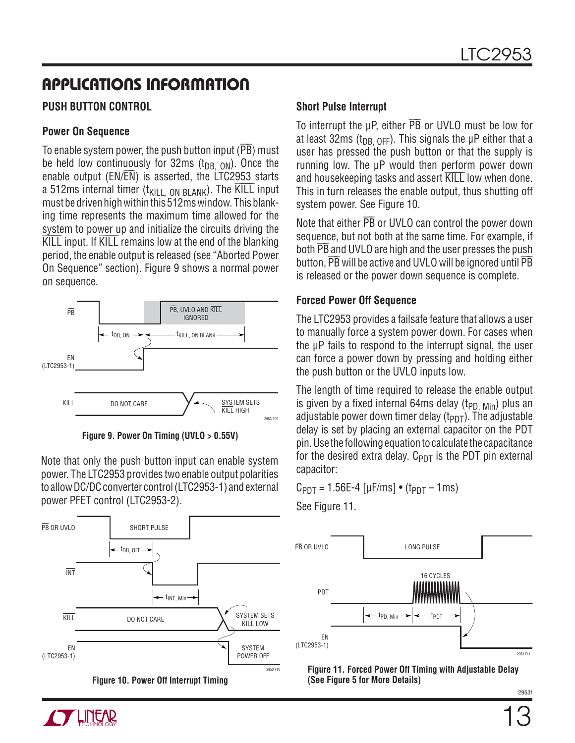## **APPLICATIONS INFORMATION**

#### **PUSH BUTTON CONTROL**

#### **Power On Sequence**

To enable system power, the push button input ( $\overline{\mathsf{PB}}$ ) must be held low continuously for 32ms  $(t_{DB, ON})$ . Once the  $\frac{1}{20}$  is a series the LTC2953 starts enable output (EN/ $\overline{EN}$ ) is asserted, the LTC2953 starts a 512ms internal timer  $(t_{\text{KILL}})$  on  $BLANK$ ). The  $\overline{\text{KILL}}$  input must be driven high within this 512ms window. This blanking time represents the maximum time allowed for the system to power up and initialize the circuits driving the ⎯ **EXALC** input. If KILL remains low at the end of the blanking period, the enable output is released (see "Aborted Power On Sequence" section). Figure 9 shows a normal power on sequence.



**Figure 9. Power On Timing (UVLO > 0.55V)**

Note that only the push button input can enable system power. The LTC2953 provides two enable output polarities to allow DC/DC converter control (LTC2953-1) and external power PFET control (LTC2953-2).





#### **Short Pulse Interrupt**

To interrupt the  $\mu$ P, either  $\overline{\text{PB}}$  or UVLO must be low for at least 32ms (t<sub>DB, OFF</sub>). This signals the  $\mu$ P either that a user has pressed the push button or that the supply is running low. The μP would then perform power down rummy fow. The provided their perform power down<br>and housekeeping tasks and assert KILL low when done. This in turn releases the enable output, thus shutting off system power. See Figure 10.

Note that either  $\overline{\text{PB}}$  or UVLO can control the power down sequence, but not both at the same time. For example, if both **PB** and UVLO are high and the user presses the push button, **PB** will be active and UVLO will be ignored until PB is released or the power down sequence is complete.

#### **Forced Power Off Sequence**

The LTC2953 provides a failsafe feature that allows a user to manually force a system power down. For cases when the μP fails to respond to the interrupt signal, the user can force a power down by pressing and holding either the push button or the UVLO inputs low.

The length of time required to release the enable output is given by a fixed internal 64ms delay ( $t_{PD, Min}$ ) plus an adjustable power down timer delay  $(t_{PDT})$ . The adjustable delay is set by placing an external capacitor on the PDT pin. Use the following equation to calculate the capacitance for the desired extra delay.  $C_{PDT}$  is the PDT pin external capacitor:

 $C_{PDT} = 1.56E-4 [\mu F/ms] \cdot (t_{PDT} - 1ms)$ 

See Figure 11.



**Figure 11. Forced Power Off Timing with Adjustable Delay (See Figure 5 for More Details)**

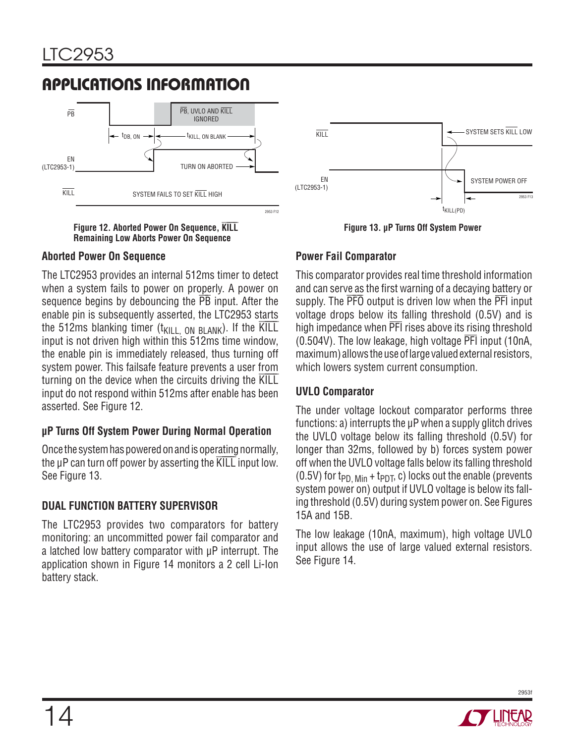# **APPLICATIONS INFORMATION**



 $\overline{\text{H}}$  **Killary** Theoried Power On Sequence,  $\overline{\text{KILL}}$ **Remaining Low Aborts Power On Sequence**

#### **Aborted Power On Sequence**

The LTC2953 provides an internal 512ms timer to detect when a system fails to power on properly. A power on sequence begins by debouncing the  $\overline{PB}$  input. After the enable pin is subsequently asserted, the LTC2953 starts the 512ms blanking timer  $(t_{\text{KILL}})$  on BLANK). If the  $\overline{\text{KILL}}$ input is not driven high within this 512ms time window, the enable pin is immediately released, thus turning off system power. This failsafe feature prevents a user from  $t$  turning on the device when the circuits driving the  $\overline{KILL}$ input do not respond within 512ms after enable has been asserted. See Figure 12.

#### **μP Turns Off System Power During Normal Operation**

Once the system has powered on and is operating normally, the μP can turn off power by asserting the KILL input low. See Figure 13.

#### **DUAL FUNCTION BATTERY SUPERVISOR**

The LTC2953 provides two comparators for battery monitoring: an uncommitted power fail comparator and a latched low battery comparator with μP interrupt. The application shown in Figure 14 monitors a 2 cell Li-Ion battery stack.



**Figure 13. μP Turns Off System Power**

#### **Power Fail Comparator**

This comparator provides real time threshold information and can serve as the first warning of a decaying battery or and can set ve as the mst warning or a decaying battery or<br>supply. The PFO output is driven low when the PFI input voltage drops below its falling threshold (0.5V) and is high impedance when PFI rises above its rising threshold (0.504V). The low leakage, high voltage PFI input (10nA, maximum) allows the use of large valued external resistors, which lowers system current consumption.

#### **UVLO Comparator**

The under voltage lockout comparator performs three functions: a) interrupts the μP when a supply glitch drives the UVLO voltage below its falling threshold (0.5V) for longer than 32ms, followed by b) forces system power off when the UVLO voltage falls below its falling threshold (0.5V) for t<sub>PD, Min</sub> + t<sub>PDT</sub>, c) locks out the enable (prevents system power on) output if UVLO voltage is below its falling threshold (0.5V) during system power on. See Figures 15A and 15B.

The low leakage (10nA, maximum), high voltage UVLO input allows the use of large valued external resistors. See Figure 14.

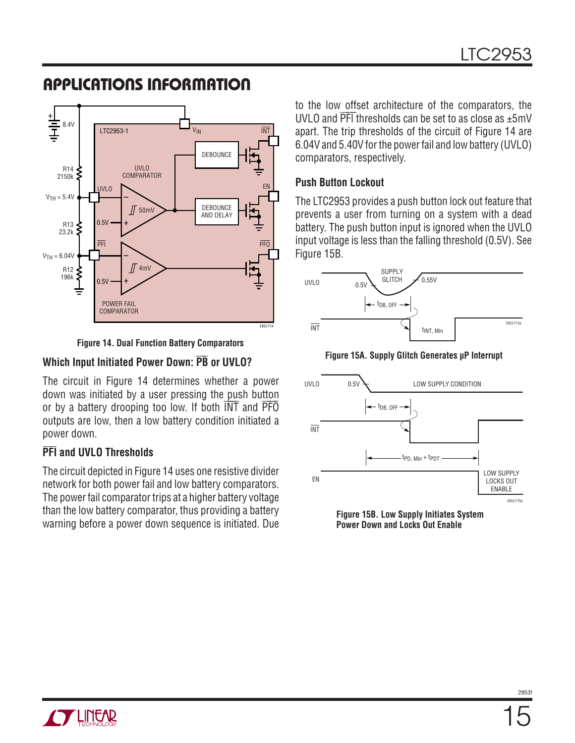### **APPLICATIONS INFORMATION**



**Figure 14. Dual Function Battery Comparators**

### **Which Input Initiated Power Down: PB or UVLO?**

The circuit in Figure 14 determines whether a power down was initiated by a user pressing the push button or by a battery drooping too low. If both  $\overline{INT}$  and  $\overline{PTO}$ outputs are low, then a low battery condition initiated a power down.

#### **PFI and UVLO Thresholds**

The circuit depicted in Figure 14 uses one resistive divider network for both power fail and low battery comparators. The power fail comparator trips at a higher battery voltage than the low battery comparator, thus providing a battery warning before a power down sequence is initiated. Due

to the low offset architecture of the comparators, the UVLO and  $\overline{PFI}$  thresholds can be set to as close as  $\pm 5$ mV apart. The trip thresholds of the circuit of Figure 14 are 6.04V and 5.40V for the power fail and low battery (UVLO) comparators, respectively.

#### **Push Button Lockout**

The LTC2953 provides a push button lock out feature that prevents a user from turning on a system with a dead battery. The push button input is ignored when the UVLO input voltage is less than the falling threshold (0.5V). See Figure 15B.



**Figure 15A. Supply Glitch Generates μP Interrupt**



**Power Down and Locks Out Enable**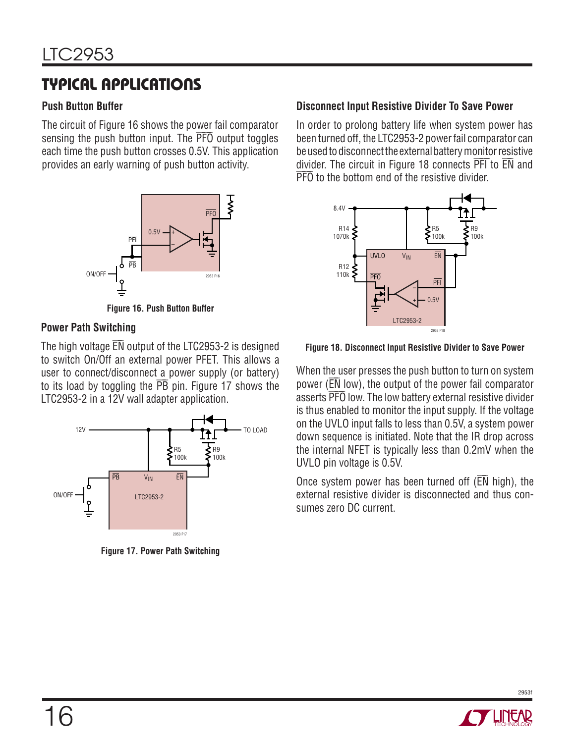# **TYPICAL APPLICATIONS**

#### **Push Button Buffer**

The circuit of Figure 16 shows the power fail comparator sensing the push button input. The **PFO** output toggles each time the push button crosses 0.5V. This application provides an early warning of push button activity.



**Figure 16. Push Button Buffer**

#### **Power Path Switching**

The high voltage  $\overline{\text{EN}}$  output of the LTC2953-2 is designed to switch On/Off an external power PFET. This allows a user to connect/disconnect a power supply (or battery) to its load by toggling the  $\overline{PB}$  pin. Figure 17 shows the LTC2953-2 in a 12V wall adapter application.



**Figure 17. Power Path Switching**

#### **Disconnect Input Resistive Divider To Save Power**

In order to prolong battery life when system power has been turned off, the LTC2953-2 power fail comparator can be used to disconnect the external battery monitor resistive divider. The circuit in Figure 18 connects **PFI** to EN and ⎯ arriach. The chean in Figure To connects TTT



**Figure 18. Disconnect Input Resistive Divider to Save Power**

When the user presses the push button to turn on system power (EN low), the output of the power fail comparator power (EN low), the barpar of the power fail comparator<br>asserts PFO low. The low battery external resistive divider is thus enabled to monitor the input supply. If the voltage on the UVLO input falls to less than 0.5V, a system power down sequence is initiated. Note that the IR drop across the internal NFET is typically less than 0.2mV when the UVLO pin voltage is 0.5V.

Once system power has been turned off  $(\overline{\text{EN}}\text{ high})$ , the external resistive divider is disconnected and thus consumes zero DC current.

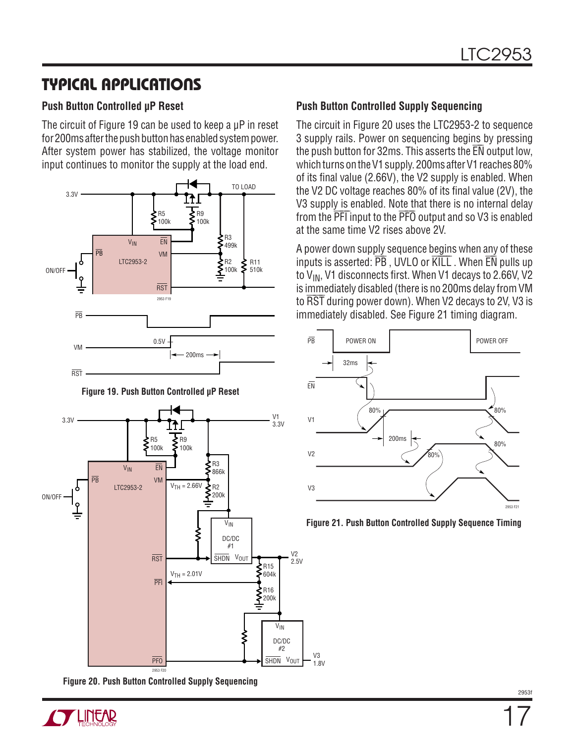### **TYPICAL APPLICATIONS**

#### **Push Button Controlled μP Reset**

The circuit of Figure 19 can be used to keep a μP in reset for 200ms after the push button has enabled system power. After system power has stabilized, the voltage monitor input continues to monitor the supply at the load end.



**Figure 19. Push Button Controlled μP Reset**



**Figure 20. Push Button Controlled Supply Sequencing**

#### **Push Button Controlled Supply Sequencing**

The circuit in Figure 20 uses the LTC2953-2 to sequence 3 supply rails. Power on sequencing begins by pressing o supply rans. I ower on sequenting begins by pressing<br>the push button for 32ms. This asserts the EN output low, which turns on the V1 supply. 200ms after V1 reaches 80% of its final value (2.66V), the V2 supply is enabled. When the V2 DC voltage reaches  $80\%$  of its final value (2V), the V3 supply is enabled. Note that there is no internal delay From the PFT input to the PFO output and so V3 is enabled at the same time V2 rises above 2V.

A power down supply sequence begins when any of these  $\overline{P}$  power down supply sequence begins when  $\overline{e}$  or these inputs is asserted:  $\overline{PB}$ , UVLO or  $\overline{K}$ ILL . When  $\overline{EN}$  pulls up to  $V_{IN}$ , V1 disconnects first. When V1 decays to 2.66V, V2 is immediately disabled (there is no 200ms delay from VM to immediately disabled (there is no zooms delay from VM<br>to RST during power down). When V2 decays to 2V, V3 is immediately disabled. See Figure 21 timing diagram.



**Figure 21. Push Button Controlled Supply Sequence Timing**

V3 1.8V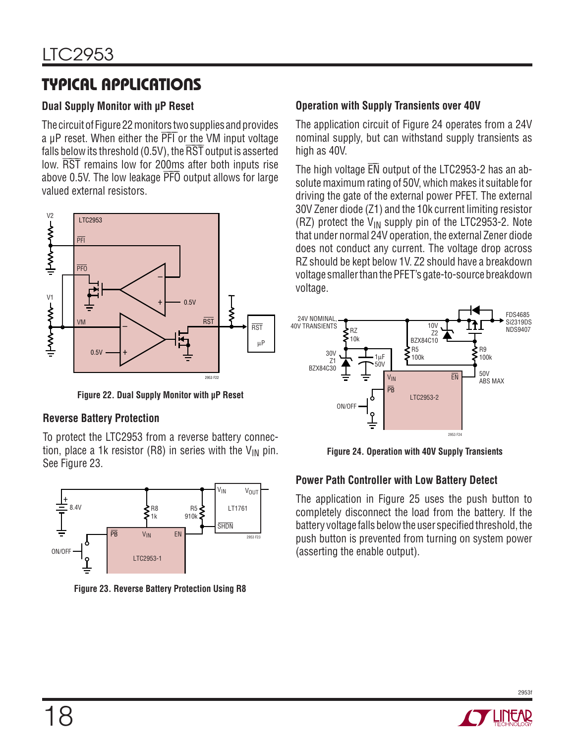# **TYPICAL APPLICATIONS**

#### **Dual Supply Monitor with μP Reset**

The circuit of Figure 22 monitors two supplies and provides a μP reset. When either the PFI or the VM input voltage falls below its threshold  $(0.5V)$ , the  $\overline{\text{RST}}$  output is asserted low. RST remains low for 200ms after both inputs rise above 0.5V. The low leakage PFO output allows for large valued external resistors.



**Figure 22. Dual Supply Monitor with μP Reset**

#### **Reverse Battery Protection**

To protect the LTC2953 from a reverse battery connection, place a 1k resistor (R8) in series with the  $V_{IN}$  pin. See Figure 23.



**Figure 23. Reverse Battery Protection Using R8**

#### **Operation with Supply Transients over 40V**

The application circuit of Figure 24 operates from a 24V nominal supply, but can withstand supply transients as high as 40V.

The high voltage  $\overline{\textsf{EN}}$  output of the LTC2953-2 has an absolute maximum rating of 50V, which makes it suitable for driving the gate of the external power PFET. The external 30V Zener diode (Z1) and the 10k current limiting resistor (RZ) protect the  $V_{IN}$  supply pin of the LTC2953-2. Note that under normal 24V operation, the external Zener diode does not conduct any current. The voltage drop across RZ should be kept below 1V. Z2 should have a breakdown voltage smaller than the PFET's gate-to-source breakdown voltage.



**Figure 24. Operation with 40V Supply Transients**

#### **Power Path Controller with Low Battery Detect**

The application in Figure 25 uses the push button to completely disconnect the load from the battery. If the battery voltage falls below the user specified threshold, the push button is prevented from turning on system power (asserting the enable output).

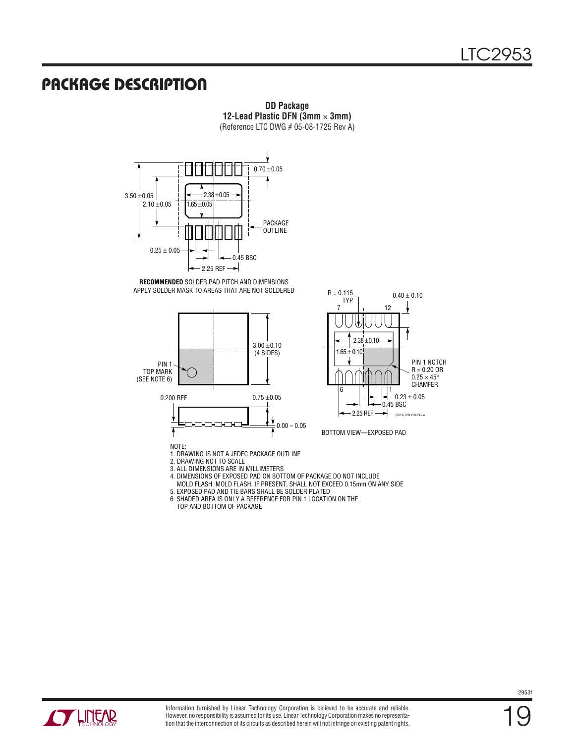### **PACKAGE DESCRIPTION**



**DD Package 12-Lead Plastic DFN (3mm** × **3mm)** (Reference LTC DWG # 05-08-1725 Rev A)



 $\overline{\mathbf{f}}$ NOTE:

0.200 REF

TOP MARK (SEE NOTE 6)

1. DRAWING IS NOT A JEDEC PACKAGE OUTLINE

2. DRAWING NOT TO SCALE

▔▞▔▞▔▞

3. ALL DIMENSIONS ARE IN MILLIMETERS

4. DIMENSIONS OF EXPOSED PAD ON BOTTOM OF PACKAGE DO NOT INCLUDE

 MOLD FLASH. MOLD FLASH, IF PRESENT, SHALL NOT EXCEED 0.15mm ON ANY SIDE 5. EXPOSED PAD AND TIE BARS SHALL BE SOLDER PLATED

 $0.00 - 0.05$ 

6. SHADED AREA IS ONLY A REFERENCE FOR PIN 1 LOCATION ON THE

 $0.75\pm0.05$ 

TOP AND BOTTOM OF PACKAGE